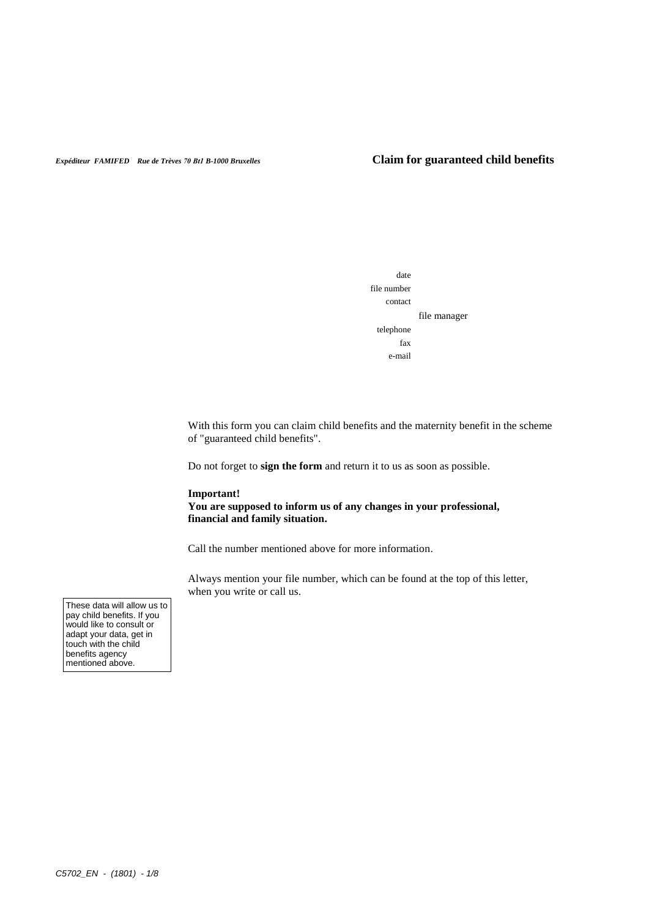## *Expéditeur FAMIFED Rue de Trèves 70 Bt1 B-1000 Bruxelles* **Claim for guaranteed child benefits**



With this form you can claim child benefits and the maternity benefit in the scheme of "guaranteed child benefits".

Do not forget to **sign the form** and return it to us as soon as possible.

### **Important!**

**You are supposed to inform us of any changes in your professional, financial and family situation.** 

Call the number mentioned above for more information.

Always mention your file number, which can be found at the top of this letter, when you write or call us.

These data will allow us to pay child benefits. If you would like to consult or adapt your data, get in touch with the child benefits agency mentioned above.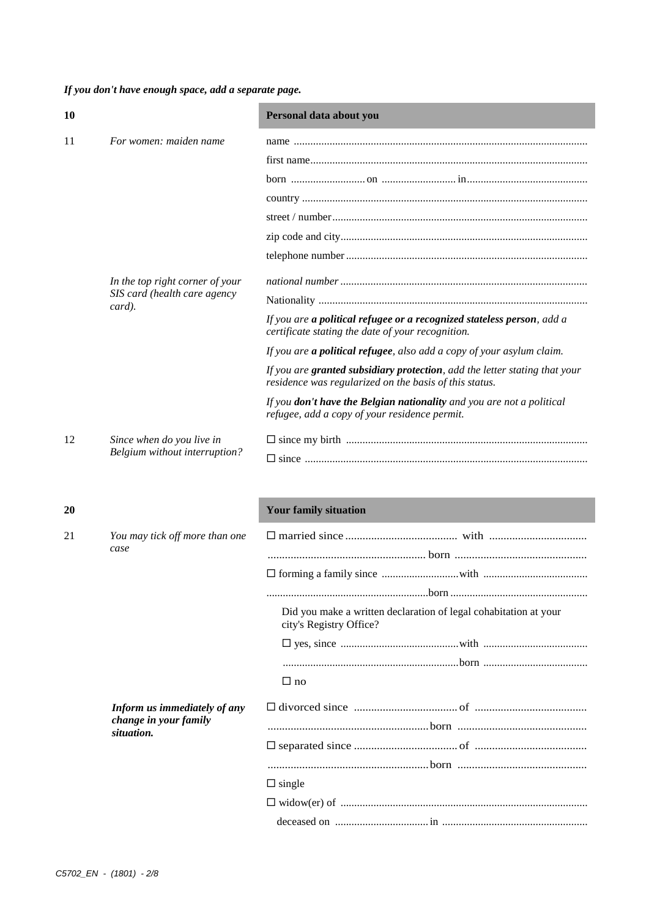*If you don't have enough space, add a separate page.*

| 10 |                                        | Personal data about you                                                                                                              |
|----|----------------------------------------|--------------------------------------------------------------------------------------------------------------------------------------|
| 11 | For women: maiden name                 |                                                                                                                                      |
|    |                                        |                                                                                                                                      |
|    |                                        |                                                                                                                                      |
|    |                                        |                                                                                                                                      |
|    |                                        |                                                                                                                                      |
|    |                                        |                                                                                                                                      |
|    |                                        |                                                                                                                                      |
|    | In the top right corner of your        |                                                                                                                                      |
|    | SIS card (health care agency<br>card). |                                                                                                                                      |
|    |                                        | If you are a political refugee or a recognized stateless person, add a<br>certificate stating the date of your recognition.          |
|    |                                        | If you are a political refugee, also add a copy of your asylum claim.                                                                |
|    |                                        | If you are granted subsidiary protection, add the letter stating that your<br>residence was regularized on the basis of this status. |
|    |                                        | If you don't have the Belgian nationality and you are not a political<br>refugee, add a copy of your residence permit.               |
| 12 | Since when do you live in              |                                                                                                                                      |
|    | Belgium without interruption?          |                                                                                                                                      |
|    |                                        |                                                                                                                                      |
| 20 |                                        | <b>Your family situation</b>                                                                                                         |
| 21 | You may tick off more than one<br>case |                                                                                                                                      |
|    |                                        |                                                                                                                                      |
|    |                                        |                                                                                                                                      |
|    |                                        |                                                                                                                                      |

Did you make a written declaration of legal cohabitation at your city's Registry Office?

 yes, since ...........................................with ...................................... ................................................................born ......................................

|                       | $\Box$ no     |  |
|-----------------------|---------------|--|
| change in your family |               |  |
| situation.            |               |  |
|                       |               |  |
|                       | $\Box$ single |  |
|                       |               |  |
|                       |               |  |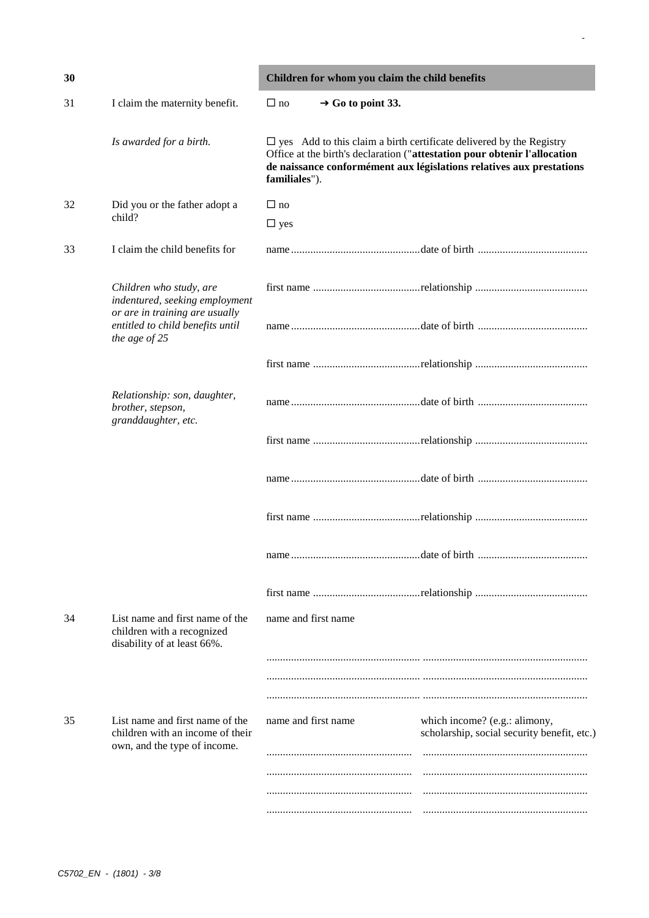| 30 |                                                                                                     | Children for whom you claim the child benefits |                                                                                                                                                                                                                                    |  |
|----|-----------------------------------------------------------------------------------------------------|------------------------------------------------|------------------------------------------------------------------------------------------------------------------------------------------------------------------------------------------------------------------------------------|--|
| 31 | I claim the maternity benefit.                                                                      | $\rightarrow$ Go to point 33.<br>$\Box$ no     |                                                                                                                                                                                                                                    |  |
|    | Is awarded for a birth.                                                                             | familiales").                                  | $\square$ yes Add to this claim a birth certificate delivered by the Registry<br>Office at the birth's declaration ("attestation pour obtenir l'allocation<br>de naissance conformément aux législations relatives aux prestations |  |
| 32 | Did you or the father adopt a                                                                       | $\Box$ no                                      |                                                                                                                                                                                                                                    |  |
|    | child?                                                                                              | $\Box$ yes                                     |                                                                                                                                                                                                                                    |  |
| 33 | I claim the child benefits for                                                                      |                                                |                                                                                                                                                                                                                                    |  |
|    | Children who study, are<br>indentured, seeking employment                                           |                                                |                                                                                                                                                                                                                                    |  |
|    | or are in training are usually<br>entitled to child benefits until<br>the age of 25                 |                                                |                                                                                                                                                                                                                                    |  |
|    |                                                                                                     |                                                |                                                                                                                                                                                                                                    |  |
|    | Relationship: son, daughter,<br>brother, stepson,<br>granddaughter, etc.                            |                                                |                                                                                                                                                                                                                                    |  |
|    |                                                                                                     |                                                |                                                                                                                                                                                                                                    |  |
|    |                                                                                                     |                                                |                                                                                                                                                                                                                                    |  |
|    |                                                                                                     |                                                |                                                                                                                                                                                                                                    |  |
|    |                                                                                                     |                                                |                                                                                                                                                                                                                                    |  |
|    |                                                                                                     |                                                |                                                                                                                                                                                                                                    |  |
| 34 | List name and first name of the<br>children with a recognized<br>disability of at least 66%.        | name and first name                            |                                                                                                                                                                                                                                    |  |
|    |                                                                                                     |                                                |                                                                                                                                                                                                                                    |  |
|    |                                                                                                     |                                                |                                                                                                                                                                                                                                    |  |
| 35 | List name and first name of the<br>children with an income of their<br>own, and the type of income. | name and first name                            | which income? (e.g.: alimony,<br>scholarship, social security benefit, etc.)                                                                                                                                                       |  |
|    |                                                                                                     |                                                |                                                                                                                                                                                                                                    |  |
|    |                                                                                                     |                                                |                                                                                                                                                                                                                                    |  |

-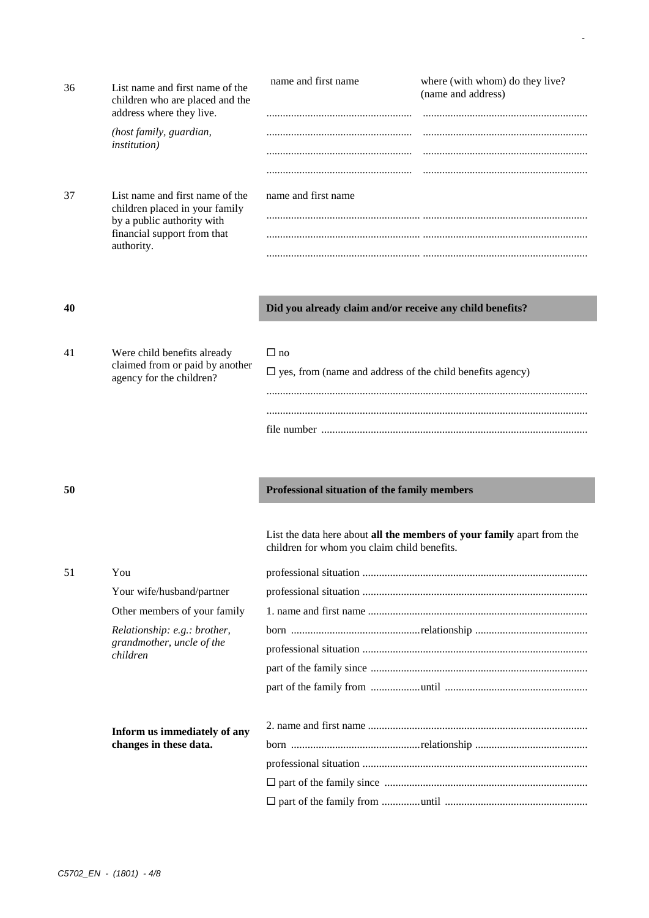| 36 | List name and first name of the<br>children who are placed and the<br>address where they live. | name and first name | where (with whom) do they live?<br>(name and address) |
|----|------------------------------------------------------------------------------------------------|---------------------|-------------------------------------------------------|
|    | (host family, guardian,<br><i>institution</i> )                                                |                     |                                                       |
|    |                                                                                                |                     |                                                       |
|    |                                                                                                |                     |                                                       |
| 37 | List name and first name of the<br>children placed in your family                              | name and first name |                                                       |
|    | by a public authority with                                                                     |                     |                                                       |
|    | financial support from that<br>authority.                                                      |                     |                                                       |
|    |                                                                                                |                     |                                                       |

# **40 Did you already claim and/or receive any child benefits?**

-

| 41 | Were child benefits already                                 | പ no                                                                |
|----|-------------------------------------------------------------|---------------------------------------------------------------------|
|    | claimed from or paid by another<br>agency for the children? | $\square$ yes, from (name and address of the child benefits agency) |
|    |                                                             |                                                                     |
|    |                                                             |                                                                     |
|    |                                                             | file number                                                         |

# **50 Professional situation of the family members**

List the data here about **all the members of your family** apart from the children for whom you claim child benefits.

| 51 | You                          |  |
|----|------------------------------|--|
|    | Your wife/husband/partner    |  |
|    | Other members of your family |  |
|    | Relationship: e.g.: brother, |  |
|    | grandmother, uncle of the    |  |
|    | children                     |  |
|    |                              |  |
|    |                              |  |
|    | Inform us immediately of any |  |
|    | changes in these data.       |  |
|    |                              |  |
|    |                              |  |
|    |                              |  |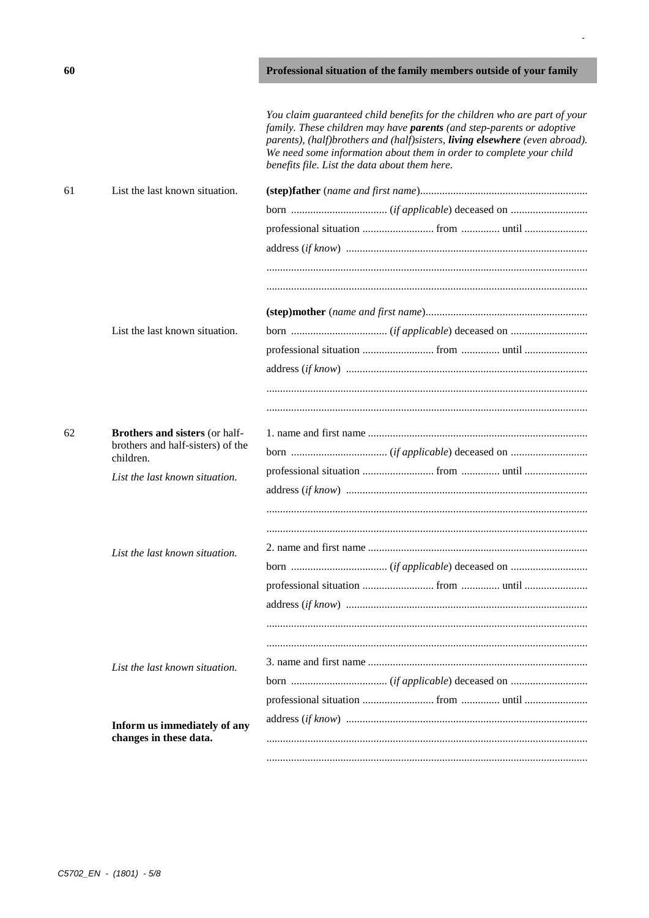|    |                                       | You claim guaranteed child benefits for the children who are part of your<br>family. These children may have <b>parents</b> (and step-parents or adoptive<br>parents), (half)brothers and (half)sisters, living elsewhere (even abroad).<br>We need some information about them in order to complete your child<br>benefits file. List the data about them here. |
|----|---------------------------------------|------------------------------------------------------------------------------------------------------------------------------------------------------------------------------------------------------------------------------------------------------------------------------------------------------------------------------------------------------------------|
| 61 | List the last known situation.        |                                                                                                                                                                                                                                                                                                                                                                  |
|    |                                       |                                                                                                                                                                                                                                                                                                                                                                  |
|    |                                       |                                                                                                                                                                                                                                                                                                                                                                  |
|    |                                       |                                                                                                                                                                                                                                                                                                                                                                  |
|    |                                       |                                                                                                                                                                                                                                                                                                                                                                  |
|    |                                       |                                                                                                                                                                                                                                                                                                                                                                  |
|    |                                       |                                                                                                                                                                                                                                                                                                                                                                  |
|    | List the last known situation.        |                                                                                                                                                                                                                                                                                                                                                                  |
|    |                                       |                                                                                                                                                                                                                                                                                                                                                                  |
|    |                                       |                                                                                                                                                                                                                                                                                                                                                                  |
|    |                                       |                                                                                                                                                                                                                                                                                                                                                                  |
|    |                                       |                                                                                                                                                                                                                                                                                                                                                                  |
| 62 | <b>Brothers and sisters (or half-</b> |                                                                                                                                                                                                                                                                                                                                                                  |
|    | brothers and half-sisters) of the     |                                                                                                                                                                                                                                                                                                                                                                  |
|    | children.                             |                                                                                                                                                                                                                                                                                                                                                                  |
|    | List the last known situation.        |                                                                                                                                                                                                                                                                                                                                                                  |
|    |                                       |                                                                                                                                                                                                                                                                                                                                                                  |
|    |                                       |                                                                                                                                                                                                                                                                                                                                                                  |
|    | List the last known situation.        |                                                                                                                                                                                                                                                                                                                                                                  |
|    |                                       |                                                                                                                                                                                                                                                                                                                                                                  |
|    |                                       | professional situation  from  until                                                                                                                                                                                                                                                                                                                              |
|    |                                       |                                                                                                                                                                                                                                                                                                                                                                  |
|    |                                       |                                                                                                                                                                                                                                                                                                                                                                  |
|    |                                       |                                                                                                                                                                                                                                                                                                                                                                  |
|    | List the last known situation.        |                                                                                                                                                                                                                                                                                                                                                                  |
|    |                                       |                                                                                                                                                                                                                                                                                                                                                                  |
|    |                                       |                                                                                                                                                                                                                                                                                                                                                                  |
|    | Inform us immediately of any          |                                                                                                                                                                                                                                                                                                                                                                  |
|    | changes in these data.                |                                                                                                                                                                                                                                                                                                                                                                  |
|    |                                       |                                                                                                                                                                                                                                                                                                                                                                  |

 $\overline{\phantom{a}}$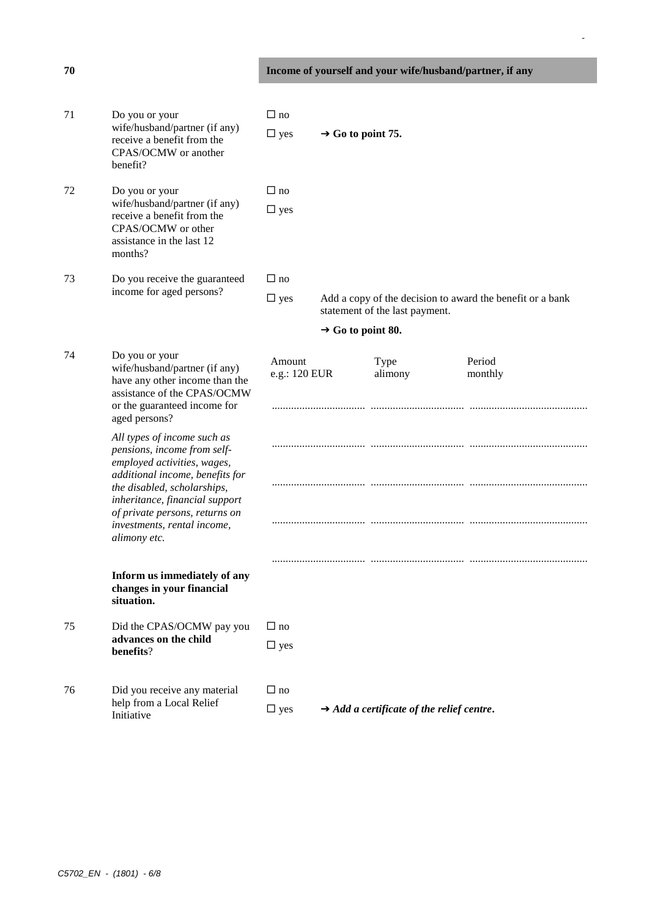# **70 Income of yourself and your wife/husband/partner, if any**

-

| 71 | Do you or your<br>wife/husband/partner (if any)<br>receive a benefit from the<br>CPAS/OCMW or another<br>benefit?                                                                                                                                                              | $\Box$ no<br>$\Box$ yes | $\rightarrow$ Go to point 75. |                                                       |                                                           |
|----|--------------------------------------------------------------------------------------------------------------------------------------------------------------------------------------------------------------------------------------------------------------------------------|-------------------------|-------------------------------|-------------------------------------------------------|-----------------------------------------------------------|
| 72 | Do you or your<br>wife/husband/partner (if any)<br>receive a benefit from the<br>CPAS/OCMW or other<br>assistance in the last 12<br>months?                                                                                                                                    | $\Box$ no<br>$\Box$ yes |                               |                                                       |                                                           |
| 73 | Do you receive the guaranteed                                                                                                                                                                                                                                                  | $\Box$ no               |                               |                                                       |                                                           |
|    | income for aged persons?                                                                                                                                                                                                                                                       | $\Box$ yes              |                               | statement of the last payment.                        | Add a copy of the decision to award the benefit or a bank |
|    |                                                                                                                                                                                                                                                                                |                         | $\rightarrow$ Go to point 80. |                                                       |                                                           |
| 74 | Do you or your<br>wife/husband/partner (if any)<br>have any other income than the<br>assistance of the CPAS/OCMW<br>or the guaranteed income for<br>aged persons?                                                                                                              | Amount<br>e.g.: 120 EUR |                               | Type<br>alimony                                       | Period<br>monthly                                         |
|    | All types of income such as<br>pensions, income from self-<br>employed activities, wages,<br>additional income, benefits for<br>the disabled, scholarships,<br>inheritance, financial support<br>of private persons, returns on<br>investments, rental income,<br>alimony etc. |                         |                               |                                                       |                                                           |
|    | Inform us immediately of any<br>changes in your financial<br>situation.                                                                                                                                                                                                        |                         |                               |                                                       |                                                           |
| 75 | Did the CPAS/OCMW pay you<br>advances on the child<br>benefits?                                                                                                                                                                                                                | $\Box$ no<br>$\Box$ yes |                               |                                                       |                                                           |
| 76 | Did you receive any material<br>help from a Local Relief<br>Initiative                                                                                                                                                                                                         | $\Box$ no<br>$\Box$ yes |                               | $\rightarrow$ Add a certificate of the relief centre. |                                                           |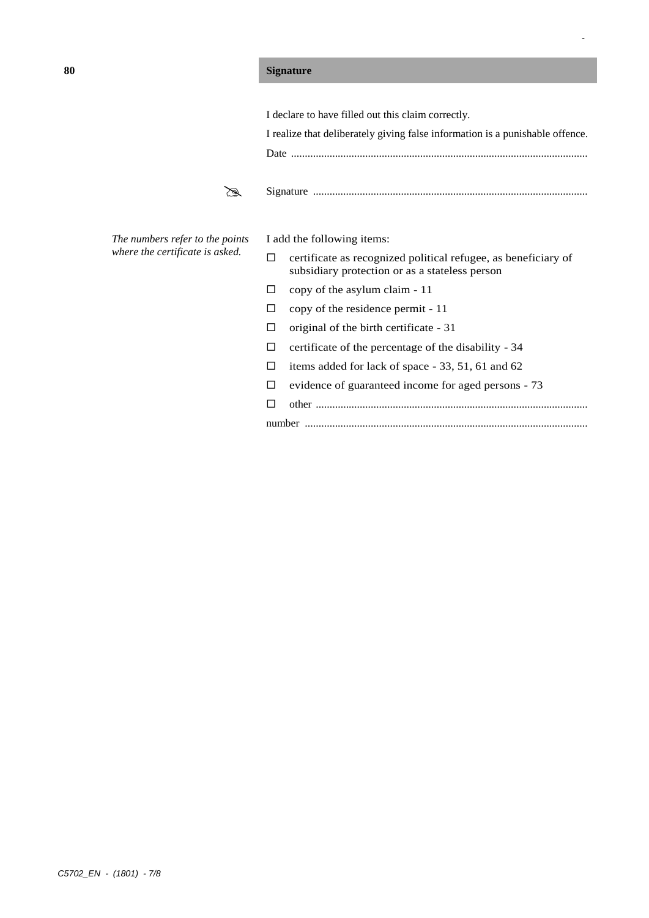# **80 Signature**

|               | I declare to have filled out this claim correctly.                            |                                                                                                                  |  |  |
|---------------|-------------------------------------------------------------------------------|------------------------------------------------------------------------------------------------------------------|--|--|
|               | I realize that deliberately giving false information is a punishable offence. |                                                                                                                  |  |  |
|               |                                                                               |                                                                                                                  |  |  |
|               |                                                                               |                                                                                                                  |  |  |
| <i>points</i> | I add the following items:                                                    |                                                                                                                  |  |  |
| isked.        | п                                                                             | certificate as recognized political refugee, as beneficiary of<br>subsidiary protection or as a stateless person |  |  |
|               | П                                                                             | copy of the asylum claim - 11                                                                                    |  |  |
|               | □                                                                             | copy of the residence permit - 11                                                                                |  |  |
|               | П                                                                             | original of the birth certificate - 31                                                                           |  |  |
|               | П                                                                             | certificate of the percentage of the disability - 34                                                             |  |  |
|               | П                                                                             | items added for lack of space - 33, 51, 61 and 62                                                                |  |  |
|               | п                                                                             | evidence of guaranteed income for aged persons - 73                                                              |  |  |
|               | П                                                                             |                                                                                                                  |  |  |
|               |                                                                               |                                                                                                                  |  |  |
|               |                                                                               |                                                                                                                  |  |  |

-

 $The$  numbers refer to the *where the certificate is a*